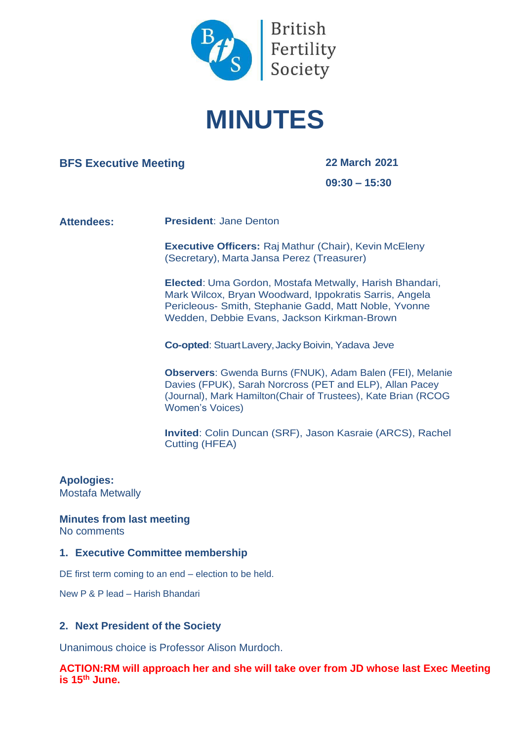

# **MINUTES**

# **BFS Executive Meeting 22 March 2021**

**09:30 – 15:30**

#### **Attendees: President**: Jane Denton

**Executive Officers:** Raj Mathur (Chair), Kevin McEleny (Secretary), Marta Jansa Perez (Treasurer)

**Elected**: Uma Gordon, Mostafa Metwally, Harish Bhandari, Mark Wilcox, Bryan Woodward, Ippokratis Sarris, Angela Pericleous- Smith, Stephanie Gadd, Matt Noble, Yvonne Wedden, Debbie Evans, Jackson Kirkman-Brown

**Co-opted:** Stuart Lavery, Jacky Boivin, Yadava Jeve

**Observers**: Gwenda Burns (FNUK), Adam Balen (FEI), Melanie Davies (FPUK), Sarah Norcross (PET and ELP), Allan Pacey (Journal), Mark Hamilton(Chair of Trustees), Kate Brian (RCOG Women's Voices)

**Invited**: Colin Duncan (SRF), Jason Kasraie (ARCS), Rachel Cutting (HFEA)

#### **Apologies:** Mostafa Metwally

**Minutes from last meeting** No comments

#### **1. Executive Committee membership**

DE first term coming to an end – election to be held.

New P & P lead – Harish Bhandari

#### **2. Next President of the Society**

Unanimous choice is Professor Alison Murdoch.

**ACTION:RM will approach her and she will take over from JD whose last Exec Meeting is 15th June.**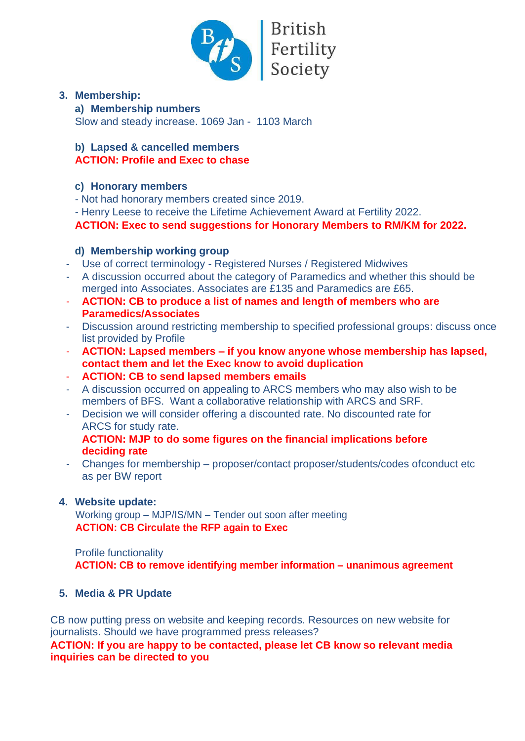

# **British** Fertility<br>Society

# **3. Membership:**

#### **a) Membership numbers**

Slow and steady increase. 1069 Jan - 1103 March

# **b) Lapsed & cancelled members**

# **ACTION: Profile and Exec to chase**

# **c) Honorary members**

- Not had honorary members created since 2019.

- Henry Leese to receive the Lifetime Achievement Award at Fertility 2022.

**ACTION: Exec to send suggestions for Honorary Members to RM/KM for 2022.**

# **d) Membership working group**

- Use of correct terminology Registered Nurses / Registered Midwives
- A discussion occurred about the category of Paramedics and whether this should be merged into Associates. Associates are £135 and Paramedics are £65.
- **ACTION: CB to produce a list of names and length of members who are Paramedics/Associates**
- Discussion around restricting membership to specified professional groups: discuss once list provided by Profile
- **ACTION: Lapsed members – if you know anyone whose membership has lapsed, contact them and let the Exec know to avoid duplication**
- **ACTION: CB to send lapsed members emails**
- A discussion occurred on appealing to ARCS members who may also wish to be members of BFS. Want a collaborative relationship with ARCS and SRF.
- Decision we will consider offering a discounted rate. No discounted rate for ARCS for study rate.

# **ACTION: MJP to do some figures on the financial implications before deciding rate**

- Changes for membership – proposer/contact proposer/students/codes ofconduct etc as per BW report

# **4. Website update:**

Working group – MJP/IS/MN – Tender out soon after meeting **ACTION: CB Circulate the RFP again to Exec**

### Profile functionality **ACTION: CB to remove identifying member information – unanimous agreement**

# **5. Media & PR Update**

CB now putting press on website and keeping records. Resources on new website for journalists. Should we have programmed press releases?

# **ACTION: If you are happy to be contacted, please let CB know so relevant media inquiries can be directed to you**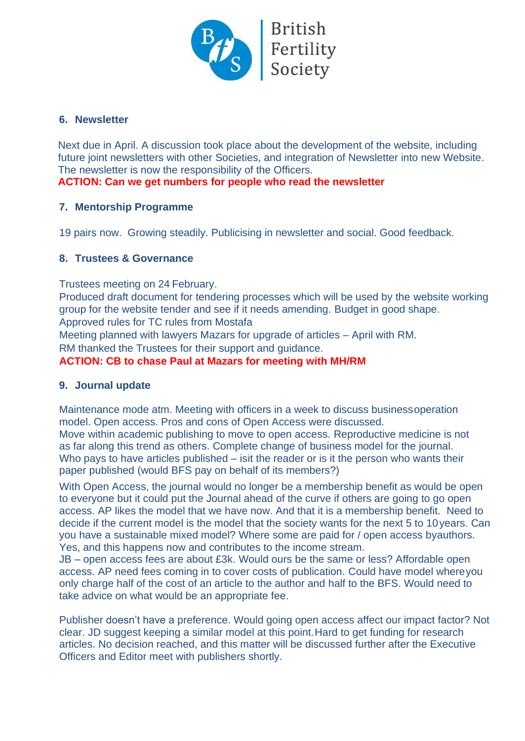

# **6. Newsletter**

Next due in April. A discussion took place about the development of the website, including future joint newsletters with other Societies, and integration of Newsletter into new Website. The newsletter is now the responsibility of the Officers.

# **ACTION: Can we get numbers for people who read the newsletter**

### **7. Mentorship Programme**

19 pairs now. Growing steadily. Publicising in newsletter and social. Good feedback.

### **8. Trustees & Governance**

Trustees meeting on 24 February.

Produced draft document for tendering processes which will be used by the website working group for the website tender and see if it needs amending. Budget in good shape. Approved rules for TC rules from Mostafa

Meeting planned with lawyers Mazars for upgrade of articles – April with RM.

RM thanked the Trustees for their support and guidance.

### **ACTION: CB to chase Paul at Mazars for meeting with MH/RM**

#### **9. Journal update**

Maintenance mode atm. Meeting with officers in a week to discuss business operation model. Open access. Pros and cons of Open Access were discussed. Move within academic publishing to move to open access. Reproductive medicine is not as far along this trend as others. Complete change of business model for the journal. Who pays to have articles published – is it the reader or is it the person who wants their paper published (would BFS pay on behalf of its members?)

With Open Access, the journal would no longer be a membership benefit as would be open to everyone but it could put the Journal ahead of the curve if others are going to go open access. AP likes the model that we have now. And that it is a membership benefit. Need to decide if the current model is the model that the society wants for the next 5 to 10 years. Can you have a sustainable mixed model? Where some are paid for / open access byauthors. Yes, and this happens now and contributes to the income stream.

JB – open access fees are about £3k. Would ours be the same or less? Affordable open access. AP need fees coming in to cover costs of publication. Could have model where you only charge half of the cost of an article to the author and half to the BFS. Would need to take advice on what would be an appropriate fee.

Publisher doesn't have a preference. Would going open access affect our impact factor? Not clear. JD suggest keeping a similar model at this point. Hard to get funding for research articles. No decision reached, and this matter will be discussed further after the Executive Officers and Editor meet with publishers shortly.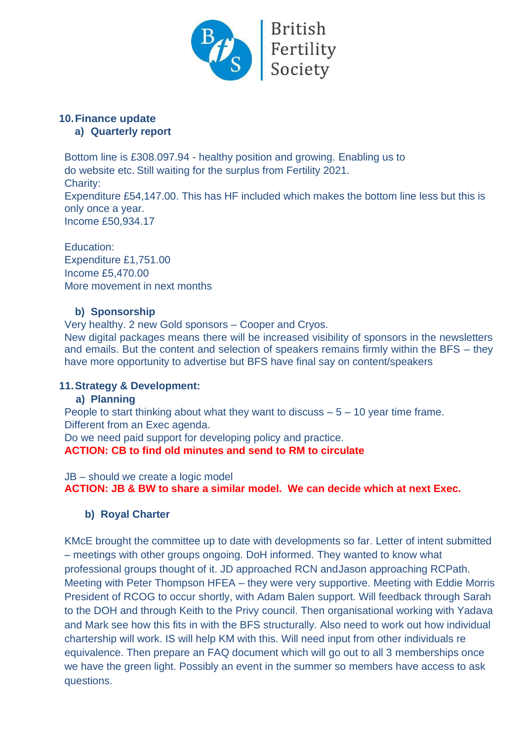

#### **10.Finance update a) Quarterly report**

Bottom line is £308.097.94 - healthy position and growing. Enabling us to do website etc. Still waiting for the surplus from Fertility 2021. Charity: Expenditure £54,147.00. This has HF included which makes the bottom line less but this is only once a year. Income £50,934.17

Education: Expenditure £1,751.00 Income £5,470.00 More movement in next months

# **b) Sponsorship**

Very healthy. 2 new Gold sponsors – Cooper and Cryos. New digital packages means there will be increased visibility of sponsors in the newsletters and emails. But the content and selection of speakers remains firmly within the BFS – they have more opportunity to advertise but BFS have final say on content/speakers

# **11.Strategy & Development:**

**a) Planning**

People to start thinking about what they want to discuss  $-5 - 10$  year time frame. Different from an Exec agenda.

Do we need paid support for developing policy and practice.

**ACTION: CB to find old minutes and send to RM to circulate**

JB – should we create a logic model

**ACTION: JB & BW to share a similar model. We can decide which at next Exec.**

# **b) Royal Charter**

KMcE brought the committee up to date with developments so far. Letter of intent submitted – meetings with other groups ongoing. DoH informed. They wanted to know what professional groups thought of it. JD approached RCN andJason approaching RCPath. Meeting with Peter Thompson HFEA – they were very supportive. Meeting with Eddie Morris President of RCOG to occur shortly, with Adam Balen support. Will feedback through Sarah to the DOH and through Keith to the Privy council. Then organisational working with Yadava and Mark see how this fits in with the BFS structurally. Also need to work out how individual chartership will work. IS will help KM with this. Will need input from other individuals re equivalence. Then prepare an FAQ document which will go out to all 3 memberships once we have the green light. Possibly an event in the summer so members have access to ask questions.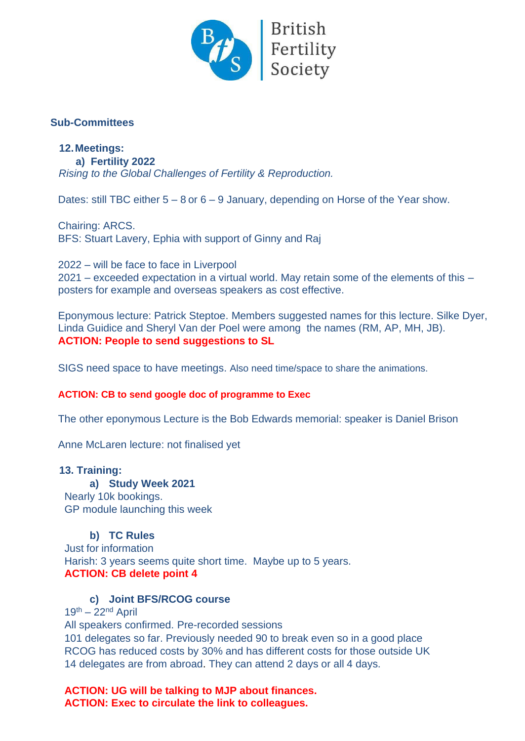

# **Sub-Committees**

# **12.Meetings:**

**a) Fertility 2022** *Rising to the Global Challenges of Fertility & Reproduction.*

Dates: still TBC either 5 – 8 or 6 – 9 January, depending on Horse of the Year show.

Chairing: ARCS. BFS: Stuart Lavery, Ephia with support of Ginny and Raj

2022 – will be face to face in Liverpool 2021 – exceeded expectation in a virtual world. May retain some of the elements of this – posters for example and overseas speakers as cost effective.

Eponymous lecture: Patrick Steptoe. Members suggested names for this lecture. Silke Dyer, Linda Guidice and Sheryl Van der Poel were among the names (RM, AP, MH, JB). **ACTION: People to send suggestions to SL**

SIGS need space to have meetings. Also need time/space to share the animations.

#### **ACTION: CB to send google doc of programme to Exec**

The other eponymous Lecture is the Bob Edwards memorial: speaker is Daniel Brison

Anne McLaren lecture: not finalised yet

#### **13. Training:**

**a) Study Week 2021** Nearly 10k bookings. GP module launching this week

#### **b) TC Rules**

Just for information Harish: 3 years seems quite short time. Maybe up to 5 years. **ACTION: CB delete point 4**

#### **c) Joint BFS/RCOG course**

 $19<sup>th</sup> - 22<sup>nd</sup>$  April

All speakers confirmed. Pre-recorded sessions

101 delegates so far. Previously needed 90 to break even so in a good place RCOG has reduced costs by 30% and has different costs for those outside UK 14 delegates are from abroad. They can attend 2 days or all 4 days.

**ACTION: UG will be talking to MJP about finances. ACTION: Exec to circulate the link to colleagues.**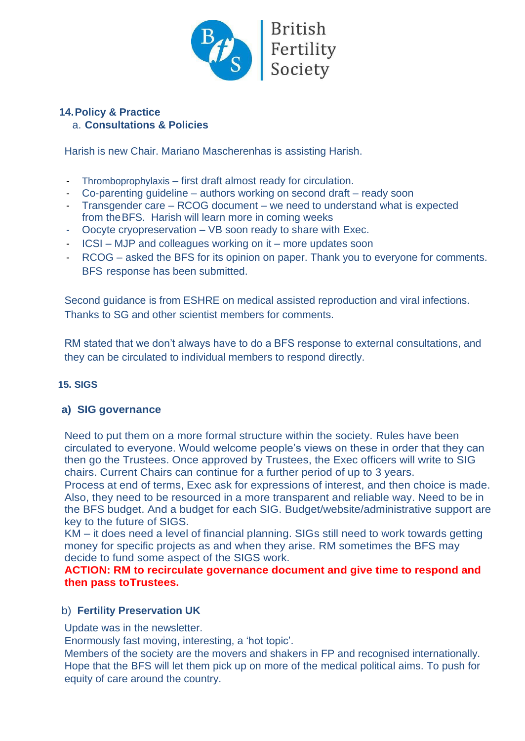

#### **14.Policy & Practice** a. **Consultations & Policies**

Harish is new Chair. Mariano Mascherenhas is assisting Harish.

- Thromboprophylaxis first draft almost ready for circulation.
- Co-parenting guideline authors working on second draft ready soon
- Transgender care RCOG document we need to understand what is expected from the BFS. Harish will learn more in coming weeks
- Oocyte cryopreservation VB soon ready to share with Exec.
- ICSI MJP and colleagues working on it more updates soon
- RCOG asked the BFS for its opinion on paper. Thank you to everyone for comments. BFS response has been submitted.

Second guidance is from ESHRE on medical assisted reproduction and viral infections. Thanks to SG and other scientist members for comments.

RM stated that we don't always have to do a BFS response to external consultations, and they can be circulated to individual members to respond directly.

# **15. SIGS**

# **a) SIG governance**

Need to put them on a more formal structure within the society. Rules have been circulated to everyone. Would welcome people's views on these in order that they can then go the Trustees. Once approved by Trustees, the Exec officers will write to SIG chairs. Current Chairs can continue for a further period of up to 3 years.

Process at end of terms, Exec ask for expressions of interest, and then choice is made. Also, they need to be resourced in a more transparent and reliable way. Need to be in the BFS budget. And a budget for each SIG. Budget/website/administrative support are key to the future of SIGS.

KM – it does need a level of financial planning. SIGs still need to work towards getting money for specific projects as and when they arise. RM sometimes the BFS may decide to fund some aspect of the SIGS work.

**ACTION: RM to recirculate governance document and give time to respond and then pass to Trustees.**

# b) **Fertility Preservation UK**

Update was in the newsletter.

Enormously fast moving, interesting, a 'hot topic'.

Members of the society are the movers and shakers in FP and recognised internationally. Hope that the BFS will let them pick up on more of the medical political aims. To push for equity of care around the country.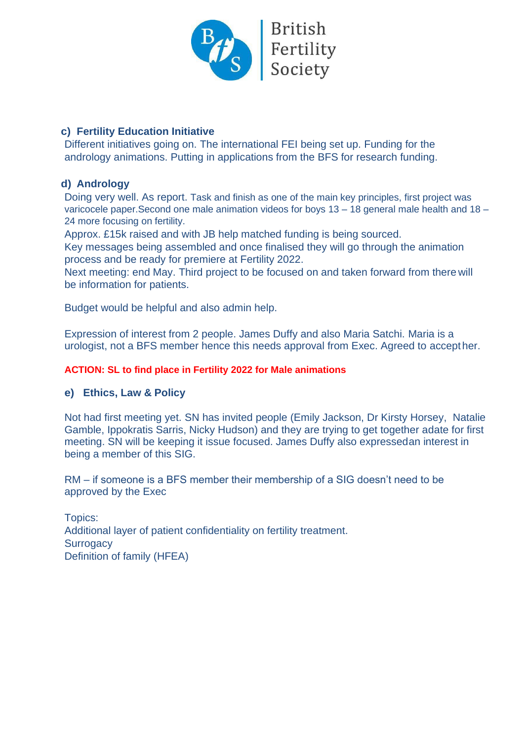

# **c) Fertility Education Initiative**

Different initiatives going on. The international FEI being set up. Funding for the andrology animations. Putting in applications from the BFS for research funding.

# **d) Andrology**

Doing very well. As report. Task and finish as one of the main key principles, first project was varicocele paper.Second one male animation videos for boys 13 – 18 general male health and 18 – 24 more focusing on fertility.

Approx. £15k raised and with JB help matched funding is being sourced.

Key messages being assembled and once finalised they will go through the animation process and be ready for premiere at Fertility 2022.

Next meeting: end May. Third project to be focused on and taken forward from there will be information for patients.

Budget would be helpful and also admin help.

Expression of interest from 2 people. James Duffy and also Maria Satchi. Maria is a urologist, not a BFS member hence this needs approval from Exec. Agreed to accept her.

# **ACTION: SL to find place in Fertility 2022 for Male animations**

# **e) Ethics, Law & Policy**

Not had first meeting yet. SN has invited people (Emily Jackson, Dr Kirsty Horsey, Natalie Gamble, Ippokratis Sarris, Nicky Hudson) and they are trying to get together adate for first meeting. SN will be keeping it issue focused. James Duffy also expressedan interest in being a member of this SIG.

RM – if someone is a BFS member their membership of a SIG doesn't need to be approved by the Exec

Topics: Additional layer of patient confidentiality on fertility treatment. **Surrogacy** Definition of family (HFEA)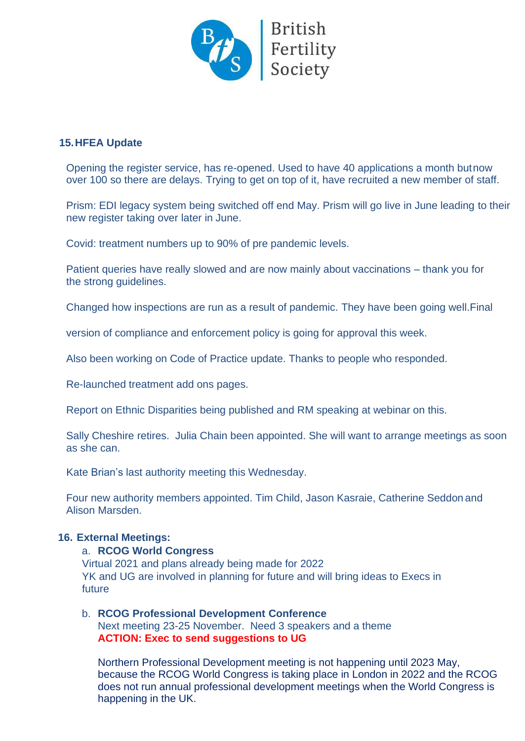

# **15.HFEA Update**

Opening the register service, has re-opened. Used to have 40 applications a month but now over 100 so there are delays. Trying to get on top of it, have recruited a new member of staff.

Prism: EDI legacy system being switched off end May. Prism will go live in June leading to their new register taking over later in June.

Covid: treatment numbers up to 90% of pre pandemic levels.

Patient queries have really slowed and are now mainly about vaccinations – thank you for the strong guidelines.

Changed how inspections are run as a result of pandemic. They have been going well.Final

version of compliance and enforcement policy is going for approval this week.

Also been working on Code of Practice update. Thanks to people who responded.

Re-launched treatment add ons pages.

Report on Ethnic Disparities being published and RM speaking at webinar on this.

Sally Cheshire retires. Julia Chain been appointed. She will want to arrange meetings as soon as she can.

Kate Brian's last authority meeting this Wednesday.

Four new authority members appointed. Tim Child, Jason Kasraie, Catherine Seddon and Alison Marsden.

#### **16. External Meetings:**

#### a. **RCOG World Congress**

Virtual 2021 and plans already being made for 2022 YK and UG are involved in planning for future and will bring ideas to Execs in future

#### b. **RCOG Professional Development Conference** Next meeting 23-25 November. Need 3 speakers and a theme **ACTION: Exec to send suggestions to UG**

Northern Professional Development meeting is not happening until 2023 May, because the RCOG World Congress is taking place in London in 2022 and the RCOG does not run annual professional development meetings when the World Congress is happening in the UK.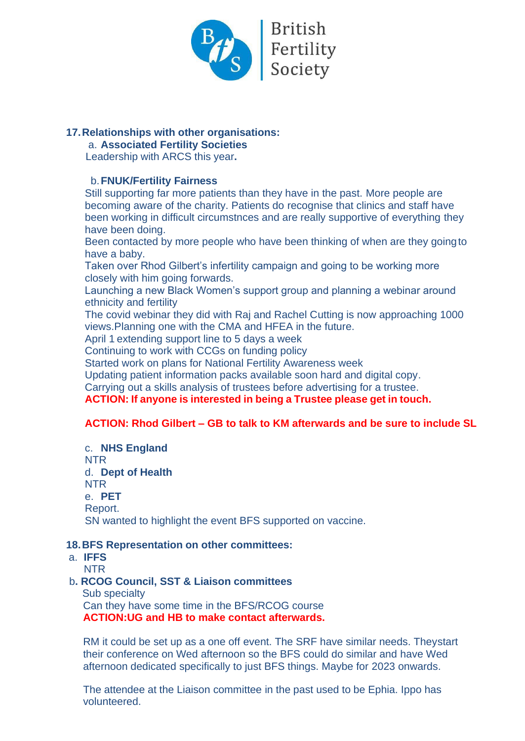

# **17.Relationships with other organisations:**

#### a. **Associated Fertility Societies**

Leadership with ARCS this year**.**

#### b.**FNUK/Fertility Fairness**

Still supporting far more patients than they have in the past. More people are becoming aware of the charity. Patients do recognise that clinics and staff have been working in difficult circumstnces and are really supportive of everything they have been doing.

Been contacted by more people who have been thinking of when are they going to have a baby.

Taken over Rhod Gilbert's infertility campaign and going to be working more closely with him going forwards.

Launching a new Black Women's support group and planning a webinar around ethnicity and fertility

The covid webinar they did with Raj and Rachel Cutting is now approaching 1000 views.Planning one with the CMA and HFEA in the future.

April 1 extending support line to 5 days a week

Continuing to work with CCGs on funding policy

Started work on plans for National Fertility Awareness week

Updating patient information packs available soon hard and digital copy.

Carrying out a skills analysis of trustees before advertising for a trustee.

#### **ACTION: If anyone is interested in being a Trustee please get in touch.**

# **ACTION: Rhod Gilbert – GB to talk to KM afterwards and be sure to include SL**

c. **NHS England** NTR d. **Dept of Health** NTR e. **PET** Report. SN wanted to highlight the event BFS supported on vaccine.

#### **18.BFS Representation on other committees:**

- a. **IFFS**
	- NTR

# b**. RCOG Council, SST & Liaison committees**

 Sub specialty Can they have some time in the BFS/RCOG course **ACTION:UG and HB to make contact afterwards.**

RM it could be set up as a one off event. The SRF have similar needs. Theystart their conference on Wed afternoon so the BFS could do similar and have Wed afternoon dedicated specifically to just BFS things. Maybe for 2023 onwards.

The attendee at the Liaison committee in the past used to be Ephia. Ippo has volunteered.